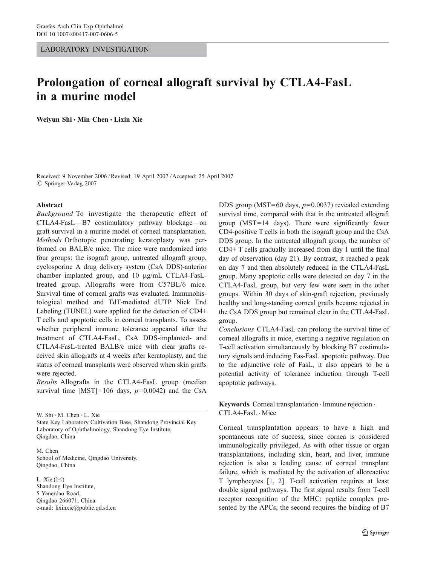## LABORATORY INVESTIGATION

# Prolongation of corneal allograft survival by CTLA4-FasL in a murine model

Weiyun Shi · Min Chen · Lixin Xie

Received: 9 November 2006 /Revised: 19 April 2007 /Accepted: 25 April 2007  $\oslash$  Springer-Verlag 2007

#### Abstract

Background To investigate the therapeutic effect of CTLA4-FasL—B7 costimulatory pathway blockage—on graft survival in a murine model of corneal transplantation. Methods Orthotopic penetrating keratoplasty was performed on BALB/c mice. The mice were randomized into four groups: the isograft group, untreated allograft group, cyclosporine A drug delivery system (CsA DDS)-anterior chamber implanted group, and 10 μg/mL CTLA4-FasLtreated group. Allografts were from C57BL/6 mice. Survival time of corneal grafts was evaluated. Immunohistological method and TdT-mediated dUTP Nick End Labeling (TUNEL) were applied for the detection of CD4+ T cells and apoptotic cells in corneal transplants. To assess whether peripheral immune tolerance appeared after the treatment of CTLA4-FasL, CsA DDS-implanted- and CTLA4-FasL-treated BALB/c mice with clear grafts received skin allografts at 4 weeks after keratoplasty, and the status of corneal transplants were observed when skin grafts were rejected.

Results Allografts in the CTLA4-FasL group (median survival time [MST]=106 days,  $p=0.0042$ ) and the CsA

W. Shi : M. Chen : L. Xie

M. Chen School of Medicine, Qingdao University, Qingdao, China

L. Xie  $(\boxtimes)$ Shandong Eye Institute, 5 Yanerdao Road, Qingdao 266071, China e-mail: lixinxie@public.qd.sd.cn

DDS group (MST=60 days,  $p=0.0037$ ) revealed extending survival time, compared with that in the untreated allograft group (MST=14 days). There were significantly fewer CD4-positive T cells in both the isograft group and the CsA DDS group. In the untreated allograft group, the number of CD4+ T cells gradually increased from day 1 until the final day of observation (day 21). By contrast, it reached a peak on day 7 and then absolutely reduced in the CTLA4-FasL group. Many apoptotic cells were detected on day 7 in the CTLA4-FasL group, but very few were seen in the other groups. Within 30 days of skin-graft rejection, previously healthy and long-standing corneal grafts became rejected in the CsA DDS group but remained clear in the CTLA4-FasL group.

Conclusions CTLA4-FasL can prolong the survival time of corneal allografts in mice, exerting a negative regulation on T-cell activation simultaneously by blocking B7 costimulatory signals and inducing Fas-FasL apoptotic pathway. Due to the adjunctive role of FasL, it also appears to be a potential activity of tolerance induction through T-cell apoptotic pathways.

Keywords Corneal transplantation . Immune rejection . CTLA4-FasL . Mice

Corneal transplantation appears to have a high and spontaneous rate of success, since cornea is considered immunologically privileged. As with other tissue or organ transplantations, including skin, heart, and liver, immune rejection is also a leading cause of corneal transplant failure, which is mediated by the activation of alloreactive T lymphocytes [\[1](#page-5-0), [2](#page-5-0)]. T-cell activation requires at least double signal pathways. The first signal results from T-cell receptor recognition of the MHC: peptide complex presented by the APCs; the second requires the binding of B7

State Key Laboratory Cultivation Base, Shandong Provincial Key Laboratory of Ophthalmology, Shandong Eye Institute, Qingdao, China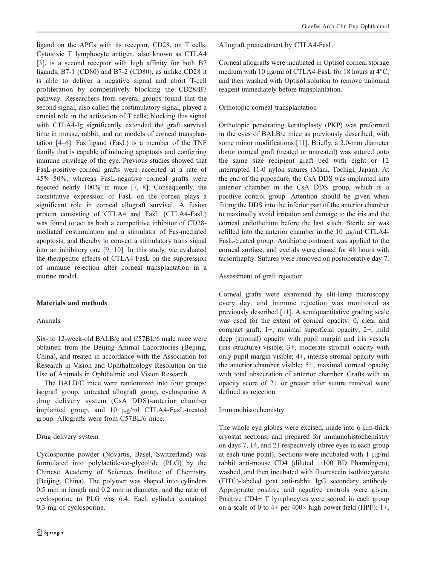ligand on the APCs with its receptor, CD28, on T cells. Cytotoxic T lymphocyte antigen, also known as CTLA4 [\[3](#page-5-0)], is a second receptor with high affinity for both B7 ligands, B7-1 (CD80) and B7-2 (CD80), as unlike CD28 it is able to deliver a negative signal and abort T-cell proliferation by competitively blocking the CD28/B7 pathway. Researchers from several groups found that the second signal, also called the costimulatory signal, played a crucial role in the activation of T cells; blocking this signal with CTLA4-Ig significantly extended the graft survival time in mouse, rabbit, and rat models of corneal transplantation [\[4](#page-5-0)–[6](#page-5-0)]. Fas ligand (FasL) is a member of the TNF family that is capable of inducing apoptosis and conferring immune privilege of the eye. Previous studies showed that FasL-positive corneal grafts were accepted at a rate of 45%–50%, whereas FasL-negative corneal grafts were rejected nearly 100% in mice [[7,](#page-5-0) [8](#page-5-0)]. Consequently, the constitutive expression of FasL on the cornea plays a significant role in corneal allograft survival. A fusion protein consisting of CTLA4 and FasL (CTLA4-FasL) was found to act as both a competitive inhibitor of CD28 mediated costimulation and a stimulator of Fas-mediated apoptosis, and thereby to convert a stimulatory trans signal into an inhibitory one [[9,](#page-5-0) [10](#page-5-0)]. In this study, we evaluated the therapeutic effects of CTLA4-FasL on the suppression of immune rejection after corneal transplantation in a murine model.

#### Materials and methods

## Animals

Six- to 12-week-old BALB/c and C57BL/6 male mice were obtained from the Beijing Animal Laboratories (Beijing, China), and treated in accordance with the Association for Research in Vision and Ophthalmology Resolution on the Use of Animals in Ophthalmic and Vision Research.

The BALB/C mice were randomized into four groups: isograft group, untreated allograft group, cyclosporine A drug delivery system (CsA DDS)-anterior chamber implanted group, and 10 μg/ml CTLA4-FasL-treated group. Allografts were from C57BL/6 mice.

## Drug delivery system

Cyclosporine powder (Novartis, Basel, Switzerland) was formulated into polylactide-co-glycolide (PLG) by the Chinese Academy of Sciences Institute of Chemistry (Beijing, China). The polymer was shaped into cylinders 0.5 mm in length and 0.2 mm in diameter, and the ratio of cyclosporine to PLG was 6:4. Each cylinder contained 0.3 mg of cyclosporine.

Allograft pretreatment by CTLA4-FasL

Corneal allografts were incubated in Optisol corneal storage medium with 10 μg/ml of CTLA4-FasL for 18 hours at 4°C, and then washed with Optisol solution to remove unbound reagent immediately before transplantation.

#### Orthotopic corneal transplantation

Orthotopic penetrating keratoplasty (PKP) was preformed in the eyes of BALB/c mice as previously described, with some minor modifications [\[11\]](#page-5-0). Briefly, a 2.0-mm diameter donor corneal graft (treated or untreated) was sutured onto the same size recipient graft bed with eight or 12 interrupted 11-0 nylon sutures (Mani, Tochigi, Japan). At the end of the procedure, the CsA DDS was implanted into anterior chamber in the CsA DDS group, which is a positive control group. Attention should be given when fitting the DDS into the inferior part of the anterior chamber to maximally avoid irritation and damage to the iris and the corneal endothelium before the last stitch. Sterile air was refilled into the anterior chamber in the 10 μg/ml CTLA4- FasL-treated group. Antibiotic ointment was applied to the corneal surface, and eyelids were closed for 48 hours with tarsorrhaphy. Sutures were removed on postoperative day 7.

### Assessment of graft rejection

Corneal grafts were examined by slit-lamp microscopy every day, and immune rejection was monitored as previously described [[11\]](#page-5-0). A semiquantitative grading scale was used for the extent of corneal opacity: 0, clear and compact graft; 1+, minimal superficial opacity; 2+, mild deep (stromal) opacity with pupil margin and iris vessels (iris structure) visible; 3+, moderate stromal opacity with only pupil margin visible; 4+, intense stromal opacity with the anterior chamber visible; 5+, maximal corneal opacity with total obscuration of anterior chamber. Grafts with an opacity score of 2+ or greater after suture removal were defined as rejection.

#### Immunohistochemistry

The whole eye globes were excised, made into 6 μm-thick cryostat sections, and prepared for immunohistochemistry on days 7, 14, and 21 respectively (three eyes in each group at each time point). Sections were incubated with 1 μg/ml rabbit anti-mouse CD4 (diluted 1:100 BD Pharmingen), washed, and then incubated with fluorescein isothiocyanate (FITC)-labeled goat anti-rabbit IgG secondary antibody. Appropriate positive and negative controls were given. Positive CD4+ T lymphocytes were scored in each group on a scale of 0 to 4+ per 400 $\times$  high power field (HPF): 1+,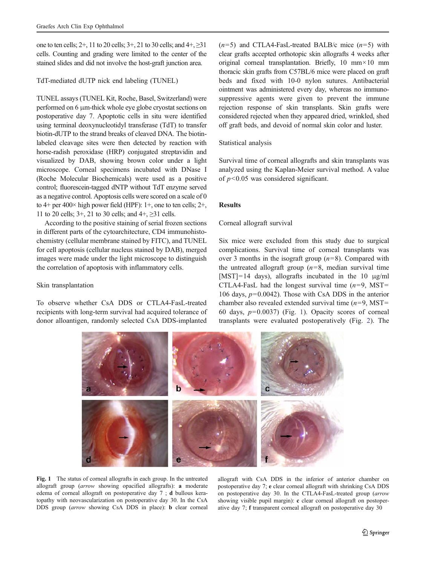one to ten cells; 2+, 11 to 20 cells; 3+, 21 to 30 cells; and 4+, ≥31 cells. Counting and grading were limited to the center of the stained slides and did not involve the host-graft junction area.

## TdT-mediated dUTP nick end labeling (TUNEL)

TUNEL assays (TUNEL Kit, Roche, Basel, Switzerland) were performed on 6 μm-thick whole eye globe cryostat sections on postoperative day 7. Apoptotic cells in situ were identified using terminal deoxynucleotidyl transferase (TdT) to transfer biotin-dUTP to the strand breaks of cleaved DNA. The biotinlabeled cleavage sites were then detected by reaction with horse-radish peroxidase (HRP) conjugated streptavidin and visualized by DAB, showing brown color under a light microscope. Corneal specimens incubated with DNase I (Roche Molecular Biochemicals) were used as a positive control; fluorescein-tagged dNTP without TdT enzyme served as a negative control. Apoptosis cells were scored on a scale of 0 to  $4+$  per  $400\times$  high power field (HPF):  $1+$ , one to ten cells;  $2+$ , 11 to 20 cells; 3+, 21 to 30 cells; and 4+, ≥31 cells.

According to the positive staining of serial frozen sections in different parts of the cytoarchitecture, CD4 immunohistochemistry (cellular membrane stained by FITC), and TUNEL for cell apoptosis (cellular nucleus stained by DAB), merged images were made under the light microscope to distinguish the correlation of apoptosis with inflammatory cells.

### Skin transplantation

To observe whether CsA DDS or CTLA4-FasL-treated recipients with long-term survival had acquired tolerance of donor alloantigen, randomly selected CsA DDS-implanted

 $(n=5)$  and CTLA4-FasL-treated BALB/c mice  $(n=5)$  with clear grafts accepted orthotopic skin allografts 4 weeks after original corneal transplantation. Briefly, 10 mm×10 mm thoracic skin grafts from C57BL/6 mice were placed on graft beds and fixed with 10-0 nylon sutures. Antibacterial ointment was administered every day, whereas no immunosuppressive agents were given to prevent the immune rejection response of skin transplants. Skin grafts were considered rejected when they appeared dried, wrinkled, shed off graft beds, and devoid of normal skin color and luster.

## Statistical analysis

Survival time of corneal allografts and skin transplants was analyzed using the Kaplan-Meier survival method. A value of  $p<0.05$  was considered significant.

#### Results

### Corneal allograft survival

Six mice were excluded from this study due to surgical complications. Survival time of corneal transplants was over 3 months in the isograft group  $(n=8)$ . Compared with the untreated allograft group  $(n=8, \text{ median survival time})$ [MST]=14 days), allografts incubated in the 10  $\mu$ g/ml CTLA4-FasL had the longest survival time  $(n=9, MST=$ 106 days,  $p=0.0042$ ). Those with CsA DDS in the anterior chamber also revealed extended survival time  $(n=9, \text{ MST} =$ 60 days,  $p=0.0037$ ) (Fig. 1). Opacity scores of corneal transplants were evaluated postoperatively (Fig. [2\)](#page-3-0). The



Fig. 1 The status of corneal allografts in each group. In the untreated allograft group (arrow showing opacified allografts): a moderate edema of corneal allograft on postoperative day 7 ; d bullous keratopathy with neovascularization on postoperative day 30. In the CsA DDS group (arrow showing CsA DDS in place): **b** clear corneal

allograft with CsA DDS in the inferior of anterior chamber on postoperative day 7; e clear corneal allograft with shrinking CsA DDS on postoperative day 30. In the CTLA4-FasL-treated group (arrow showing visible pupil margin): c clear corneal allograft on postoperative day 7; f transparent corneal allograft on postoperative day 30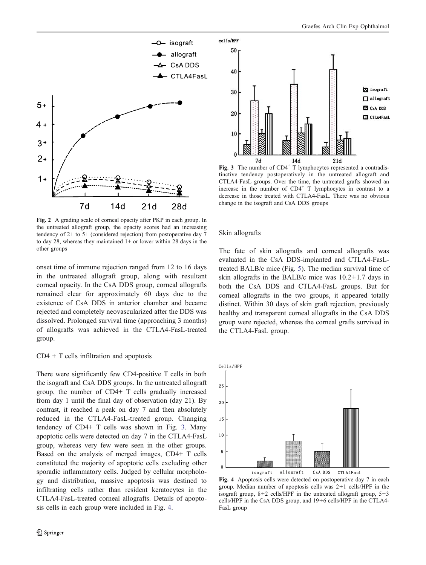<span id="page-3-0"></span>

Fig. 2 A grading scale of corneal opacity after PKP in each group. In the untreated allograft group, the opacity scores had an increasing tendency of 2+ to 5+ (considered rejection) from postoperative day 7 to day 28, whereas they maintained 1+ or lower within 28 days in the other groups

onset time of immune rejection ranged from 12 to 16 days in the untreated allograft group, along with resultant corneal opacity. In the CsA DDS group, corneal allografts remained clear for approximately 60 days due to the existence of CsA DDS in anterior chamber and became rejected and completely neovascularized after the DDS was dissolved. Prolonged survival time (approaching 3 months) of allografts was achieved in the CTLA4-FasL-treated group.

## $CD4 + T$  cells infiltration and apoptosis

There were significantly few CD4-positive T cells in both the isograft and CsA DDS groups. In the untreated allograft group, the number of CD4+ T cells gradually increased from day 1 until the final day of observation (day 21). By contrast, it reached a peak on day 7 and then absolutely reduced in the CTLA4-FasL-treated group. Changing tendency of CD4+ T cells was shown in Fig. 3. Many apoptotic cells were detected on day 7 in the CTLA4-FasL group, whereas very few were seen in the other groups. Based on the analysis of merged images, CD4+ T cells constituted the majority of apoptotic cells excluding other sporadic inflammatory cells. Judged by cellular morphology and distribution, massive apoptosis was destined to infiltrating cells rather than resident keratocytes in the CTLA4-FasL-treated corneal allografts. Details of apoptosis cells in each group were included in Fig. 4.



Fig. 3 The number of  $CD4^+$  T lymphocytes represented a contradistinctive tendency postoperatively in the untreated allograft and CTLA4-FasL groups. Over the time, the untreated grafts showed an increase in the number of  $CD4^+$  T lymphocytes in contrast to a decrease in those treated with CTLA4-FasL. There was no obvious change in the isograft and CsA DDS groups

#### Skin allografts

The fate of skin allografts and corneal allografts was evaluated in the CsA DDS-implanted and CTLA4-FasLtreated BALB/c mice (Fig. [5\)](#page-4-0). The median survival time of skin allografts in the BALB/c mice was  $10.2 \pm 1.7$  days in both the CsA DDS and CTLA4-FasL groups. But for corneal allografts in the two groups, it appeared totally distinct. Within 30 days of skin graft rejection, previously healthy and transparent corneal allografts in the CsA DDS group were rejected, whereas the corneal grafts survived in the CTLA4-FasL group.



Fig. 4 Apoptosis cells were detected on postoperative day 7 in each group. Median number of apoptosis cells was  $2\pm 1$  cells/HPF in the isograft group,  $8\pm 2$  cells/HPF in the untreated allograft group,  $5\pm 3$ cells/HPF in the CsA DDS group, and 19±6 cells/HPF in the CTLA4- FasL group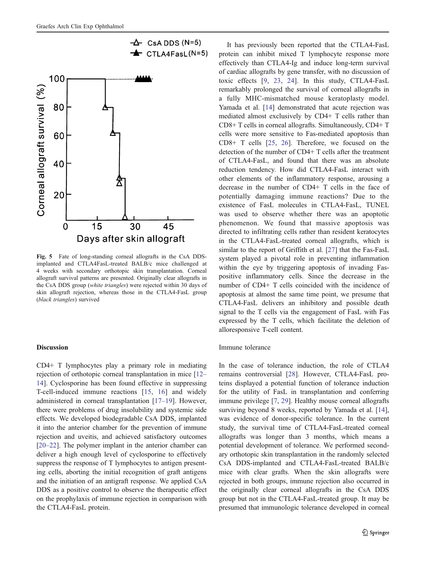<span id="page-4-0"></span>

Fig. 5 Fate of long-standing corneal allografts in the CsA DDSimplanted and CTLA4FasL-treated BALB/c mice challenged at 4 weeks with secondary orthotopic skin transplantation. Corneal allograft survival patterns are presented. Originally clear allografts in the CsA DDS group (white triangles) were rejected within 30 days of skin allograft rejection, whereas those in the CTLA4-FasL group (black triangles) survived

#### Discussion

CD4+ T lymphocytes play a primary role in mediating rejection of orthotopic corneal transplantation in mice [\[12](#page-5-0)– [14](#page-5-0)]. Cyclosporine has been found effective in suppressing T-cell-induced immune reactions [[15,](#page-5-0) [16\]](#page-5-0) and widely administered in corneal transplantation [\[17](#page-5-0)–[19](#page-5-0)]. However, there were problems of drug insolubility and systemic side effects. We developed biodegradable CsA DDS, implanted it into the anterior chamber for the prevention of immune rejection and uveitis, and achieved satisfactory outcomes [\[20](#page-5-0)–[22](#page-5-0)]. The polymer implant in the anterior chamber can deliver a high enough level of cyclosporine to effectively suppress the response of T lymphocytes to antigen presenting cells, aborting the initial recognition of graft antigens and the initiation of an antigraft response. We applied CsA DDS as a positive control to observe the therapeutic effect on the prophylaxis of immune rejection in comparison with the CTLA4-FasL protein.

It has previously been reported that the CTLA4-FasL protein can inhibit mixed T lymphocyte response more effectively than CTLA4-Ig and induce long-term survival of cardiac allografts by gene transfer, with no discussion of toxic effects [[9,](#page-5-0) [23,](#page-6-0) [24\]](#page-6-0). In this study, CTLA4-FasL remarkably prolonged the survival of corneal allografts in a fully MHC-mismatched mouse keratoplasty model. Yamada et al. [[14\]](#page-5-0) demonstrated that acute rejection was mediated almost exclusively by CD4+ T cells rather than CD8+ T cells in corneal allografts. Simultaneously, CD4+ T cells were more sensitive to Fas-mediated apoptosis than CD8+ T cells [[25,](#page-6-0) [26](#page-6-0)]. Therefore, we focused on the detection of the number of CD4+ T cells after the treatment of CTLA4-FasL, and found that there was an absolute reduction tendency. How did CTLA4-FasL interact with other elements of the inflammatory response, arousing a decrease in the number of CD4+ T cells in the face of potentially damaging immune reactions? Due to the existence of FasL molecules in CTLA4-FasL, TUNEL was used to observe whether there was an apoptotic phenomenon. We found that massive apoptosis was directed to infiltrating cells rather than resident keratocytes in the CTLA4-FasL-treated corneal allografts, which is similar to the report of Griffith et al. [[27\]](#page-6-0) that the Fas-FasL system played a pivotal role in preventing inflammation within the eye by triggering apoptosis of invading Faspositive inflammatory cells. Since the decrease in the number of CD4+ T cells coincided with the incidence of apoptosis at almost the same time point, we presume that CTLA4-FasL delivers an inhibitory and possible death signal to the T cells via the engagement of FasL with Fas expressed by the T cells, which facilitate the deletion of alloresponsive T-cell content.

#### Immune tolerance

In the case of tolerance induction, the role of CTLA4 remains controversial [\[28](#page-6-0)]. However, CTLA4-FasL proteins displayed a potential function of tolerance induction for the utility of FasL in transplantation and conferring immune privilege [[7,](#page-5-0) [29](#page-6-0)]. Healthy mouse corneal allografts surviving beyond 8 weeks, reported by Yamada et al. [[14\]](#page-5-0), was evidence of donor-specific tolerance. In the current study, the survival time of CTLA4-FasL-treated corneal allografts was longer than 3 months, which means a potential development of tolerance. We performed secondary orthotopic skin transplantation in the randomly selected CsA DDS-implanted and CTLA4-FasL-treated BALB/c mice with clear grafts. When the skin allografts were rejected in both groups, immune rejection also occurred in the originally clear corneal allografts in the CsA DDS group but not in the CTLA4-FasL-treated group. It may be presumed that immunologic tolerance developed in corneal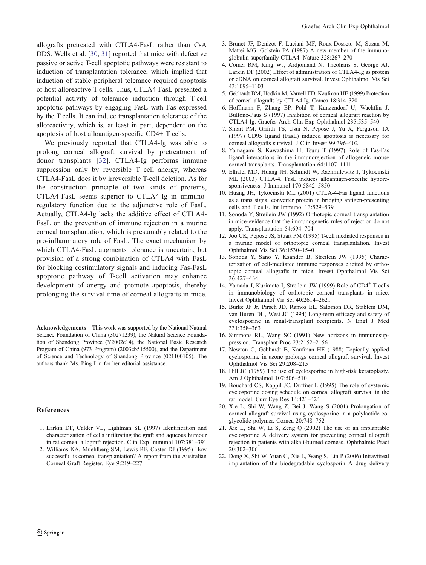<span id="page-5-0"></span>allografts pretreated with CTLA4-FasL rather than CsA DDS. Wells et al. [[30,](#page-6-0) [31\]](#page-6-0) reported that mice with defective passive or active T-cell apoptotic pathways were resistant to induction of transplantation tolerance, which implied that induction of stable peripheral tolerance required apoptosis of host alloreactive T cells. Thus, CTLA4-FasL presented a potential activity of tolerance induction through T-cell apoptotic pathways by engaging FasL with Fas expressed by the T cells. It can induce transplantation tolerance of the alloreactivity, which is, at least in part, dependent on the apoptosis of host alloantigen-specific CD4+ T cells.

We previously reported that CTLA4-Ig was able to prolong corneal allograft survival by pretreatment of donor transplants [[32\]](#page-6-0). CTLA4-Ig performs immune suppression only by reversible T cell anergy, whereas CTLA4-FasL does it by irreversible T-cell deletion. As for the construction principle of two kinds of proteins, CTLA4-FasL seems superior to CTLA4-Ig in immunoregulatory function due to the adjunctive role of FasL. Actually, CTLA4-Ig lacks the additive effect of CTLA4- FasL on the prevention of immune rejection in a murine corneal transplantation, which is presumably related to the pro-inflammatory role of FasL. The exact mechanism by which CTLA4-FasL augments tolerance is uncertain, but provision of a strong combination of CTLA4 with FasL for blocking costimulatory signals and inducing Fas-FasL apoptotic pathway of T-cell activation may enhance development of anergy and promote apoptosis, thereby prolonging the survival time of corneal allografts in mice.

Acknowledgements This work was supported by the National Natural Science Foundation of China (30271239), the Natural Science Foundation of Shandong Province (Y2002c14), the National Basic Research Program of China (973 Program) (2003cb515500), and the Department of Science and Technology of Shandong Province (021100105). The authors thank Ms. Ping Lin for her editorial assistance.

#### References

- 1. Larkin DF, Calder VL, Lightman SL (1997) Identification and characterization of cells infiltrating the graft and aqueous humour in rat corneal allograft rejection. Clin Exp Immunol 107:381–391
- 2. Williams KA, Muehlberg SM, Lewis RF, Coster DJ (1995) How successful is corneal transplantation? A report from the Australian Corneal Graft Register. Eye 9:219–227

Graefes Arch Clin Exp Ophthalmol

- globulin superfamily-CTLA4. Nature 328:267–270 4. Comer RM, King WJ, Ardjomand N, Theoharis S, George AJ, Larkin DF (2002) Effect of administration of CTLA4-Ig as protein or cDNA on corneal allograft survival. Invest Ophthalmol Vis Sci 43:1095–1103
- 5. Gebhardt BM, Hodkin M, Varnell ED, Kaufman HE (1999) Protection of corneal allografts by CTLA4-Ig. Cornea 18:314–320
- 6. Hoffmann F, Zhang EP, Pohl T, Kunzendorf U, Wachtlin J, Bulfone-Paus S (1997) Inhibition of corneal allograft reaction by CTLA4-Ig. Graefes Arch Clin Exp Ophthalmol 235:535–540
- 7. Smart PM, Grifith TS, Usui N, Pepose J, Yu X, Ferguson TA (1997) CD95 ligand (FasL) induced apoptosis is necessary for corneal allografts survival. J Clin Invest 99:396–402
- 8. Yamagami S, Kawashima H, Tsuru T (1997) Role of Fas-Fas ligand interactions in the immunorejection of allogeneic mouse corneal transplants. Transplantation 64:1107–1111
- 9. Elhalel MD, Huang JH, Schmidt W, Rachmilewitz J, Tykocinski ML (2003) CTLA-4. FasL induces alloantigen-specific hyporesponsiveness. J Immunol 170:5842–5850
- 10. Huang JH, Tykocinski ML (2001) CTLA-4-Fas ligand functions as a trans signal converter protein in bridging antigen-presenting cells and T cells. Int Immunol 13:529–539
- 11. Sonoda Y, Streilein JW (1992) Orthotopic corneal transplantation in mice-evidence that the immunogenetic rules of rejection do not apply. Transplantation 54:694–704
- 12. Joo CK, Pepose JS, Stuart PM (1995) T-cell mediated responses in a murine model of orthotopic corneal transplantation. Invest Ophthalmol Vis Sci 36:1530–1540
- 13. Sonoda Y, Sano Y, Ksander B, Streilein JW (1995) Characterization of cell-mediated immune responses elicited by orthotopic corneal allografts in mice. Invest Ophthalmol Vis Sci 36:427–434
- 14. Yamada J, Kurimoto I, Streilein JW (1999) Role of CD4<sup>+</sup> T cells in immunobiology of orthotopic corneal transplants in mice. Invest Ophthalmol Vis Sci 40:2614–2621
- 15. Burke JF Jr, Pirsch JD, Ramos EL, Salomon DR, Stablein DM, van Buren DH, West JC (1994) Long-term efficacy and safety of cyclosporine in renal-transplant recipients. N Engl J Med 331:358–363
- 16. Simmons RL, Wang SC (1991) New horizons in immunosuppression. Transplant Proc 23:2152–2156
- 17. Newton C, Gebhardt B, Kaufman HE (1988) Topically applied cyclosporine in azone prolongs corneal allograft survival. Invest Ophthalmol Vis Sci 29:208–215
- 18. Hill JC (1989) The use of cyclosporine in high-risk keratoplasty. Am J Ophthalmol 107:506–510
- 19. Bouchard CS, Kappil JC, Duffner L (1995) The role of systemic cyclosporine dosing schedule on corneal allograft survival in the rat model. Curr Eye Res 14:421–424
- 20. Xie L, Shi W, Wang Z, Bei J, Wang S (2001) Prolongation of corneal allograft survival using cyclosporine in a polylactide-coglycolide polymer. Cornea 20:748–752
- 21. Xie L, Shi W, Li S, Zeng Q (2002) The use of an implantable cyclosporine A delivery system for preventing corneal allograft rejection in patients with alkali-burned corneas. Ophthalmic Pract 20:302–306
- 22. Dong X, Shi W, Yuan G, Xie L, Wang S, Lin P (2006) Intravitreal implantation of the biodegradable cyclosporin A drug delivery